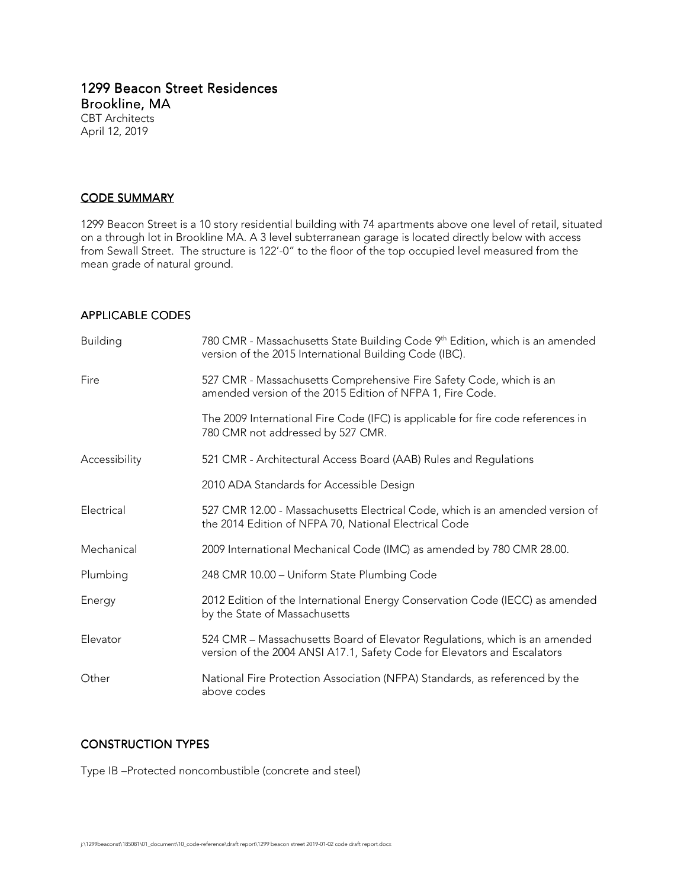## 1299 Beacon Street Residences Brookline, MA CBT Architects April 12, 2019

## <u>CODE SUMMARY</u>

1299 Beacon Street is a 10 story residential building with 74 apartments above one level of retail, situated on a through lot in Brookline MA. A 3 level subterranean garage is located directly below with access from Sewall Street. The structure is 122'-0" to the floor of the top occupied level measured from the mean grade of natural ground.

## APPLICABLE CODES

| <b>Building</b> | 780 CMR - Massachusetts State Building Code 9th Edition, which is an amended<br>version of the 2015 International Building Code (IBC).                 |  |  |  |  |
|-----------------|--------------------------------------------------------------------------------------------------------------------------------------------------------|--|--|--|--|
| Fire            | 527 CMR - Massachusetts Comprehensive Fire Safety Code, which is an<br>amended version of the 2015 Edition of NFPA 1, Fire Code.                       |  |  |  |  |
|                 | The 2009 International Fire Code (IFC) is applicable for fire code references in<br>780 CMR not addressed by 527 CMR.                                  |  |  |  |  |
| Accessibility   | 521 CMR - Architectural Access Board (AAB) Rules and Regulations                                                                                       |  |  |  |  |
|                 | 2010 ADA Standards for Accessible Design                                                                                                               |  |  |  |  |
| Electrical      | 527 CMR 12.00 - Massachusetts Electrical Code, which is an amended version of<br>the 2014 Edition of NFPA 70, National Electrical Code                 |  |  |  |  |
| Mechanical      | 2009 International Mechanical Code (IMC) as amended by 780 CMR 28.00.                                                                                  |  |  |  |  |
| Plumbing        | 248 CMR 10.00 - Uniform State Plumbing Code                                                                                                            |  |  |  |  |
| Energy          | 2012 Edition of the International Energy Conservation Code (IECC) as amended<br>by the State of Massachusetts                                          |  |  |  |  |
| Elevator        | 524 CMR - Massachusetts Board of Elevator Regulations, which is an amended<br>version of the 2004 ANSI A17.1, Safety Code for Elevators and Escalators |  |  |  |  |
| Other           | National Fire Protection Association (NFPA) Standards, as referenced by the<br>above codes                                                             |  |  |  |  |

## **CONSTRUCTION TYPES**

Type IB –Protected noncombustible (concrete and steel)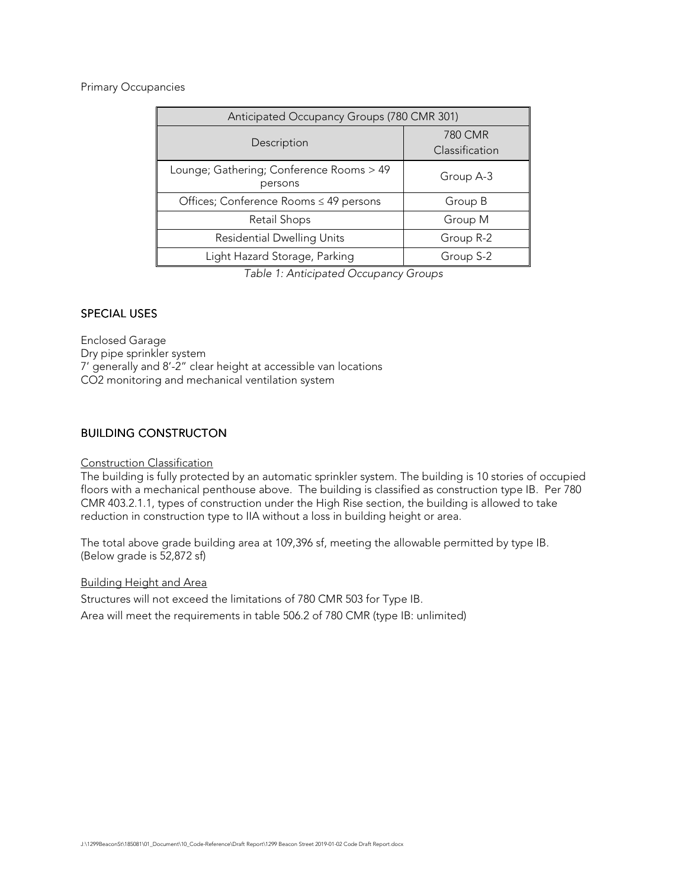## Primary Occupancies

| Anticipated Occupancy Groups (780 CMR 301)          |                           |  |  |  |  |
|-----------------------------------------------------|---------------------------|--|--|--|--|
| Description                                         | 780 CMR<br>Classification |  |  |  |  |
| Lounge; Gathering; Conference Rooms > 49<br>persons | Group A-3                 |  |  |  |  |
| Offices; Conference Rooms ≤ 49 persons              | Group B                   |  |  |  |  |
| Retail Shops                                        | Group M                   |  |  |  |  |
| <b>Residential Dwelling Units</b>                   | Group R-2                 |  |  |  |  |
| Light Hazard Storage, Parking                       | Group S-2                 |  |  |  |  |

Table 1: Anticipated Occupancy Groups

## **SPECIAL USES**

Enclosed Garage Dry pipe sprinkler system 7' generally and 8'-2" clear height at accessible van locations CO2 monitoring and mechanical ventilation system

## **BUILDING CONSTRUCTON**

## Construction Classification

The building is fully protected by an automatic sprinkler system. The building is 10 stories of occupied floors with a mechanical penthouse above. The building is classified as construction type IB. Per 780 CMR 403.2.1.1, types of construction under the High Rise section, the building is allowed to take reduction in construction type to IIA without a loss in building height or area.

The total above grade building area at 109,396 sf, meeting the allowable permitted by type IB. (Below grade is 52,872 sf)

Building Height and Area

Structures will not exceed the limitations of 780 CMR 503 for Type IB.

Area will meet the requirements in table 506.2 of 780 CMR (type IB: unlimited)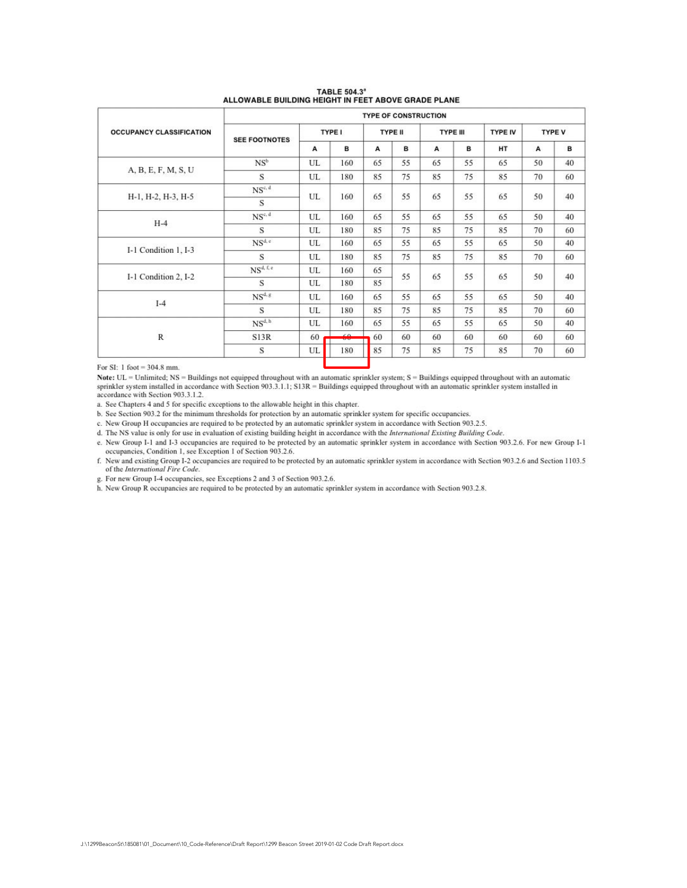|                                 | <b>TYPE OF CONSTRUCTION</b>    |    |                |    |                 |    |                |               |    |    |
|---------------------------------|--------------------------------|----|----------------|----|-----------------|----|----------------|---------------|----|----|
| <b>OCCUPANCY CLASSIFICATION</b> | TYPE I<br><b>SEE FOOTNOTES</b> |    | <b>TYPE II</b> |    | <b>TYPE III</b> |    | <b>TYPE IV</b> | <b>TYPE V</b> |    |    |
|                                 |                                | A  | в              | A  | B               | A  | в              | <b>HT</b>     | A  | в  |
|                                 | $NS^b$                         | UL | 160            | 65 | 55              | 65 | 55             | 65            | 50 | 40 |
| A, B, E, F, M, S, U             | S                              | UL | 180            | 85 | 75              | 85 | 75             | 85            | 70 | 60 |
|                                 | $NS^{c, d}$                    |    |                |    | 55              | 65 | 55             | 65            | 50 | 40 |
| H-1, H-2, H-3, H-5              | S                              | UL | 160            | 65 |                 |    |                |               |    |    |
| $H-4$                           | $NS^{c, d}$                    | UL | 160            | 65 | 55              | 65 | 55             | 65            | 50 | 40 |
|                                 | S                              | UL | 180            | 85 | 75              | 85 | 75             | 85            | 70 | 60 |
|                                 | $NS^{d,e}$                     | UL | 160            | 65 | 55              | 65 | 55             | 65            | 50 | 40 |
| I-1 Condition 1, I-3            | S                              | UL | 180            | 85 | 75              | 85 | 75             | 85            | 70 | 60 |
|                                 | NS <sup>d, f, e</sup>          | UL | 160            | 65 |                 | 65 | 55             |               | 50 | 40 |
| I-1 Condition 2, I-2            | S                              | UL | 180            | 85 | 55              |    |                | 65            |    |    |
|                                 | $NS^{d,g}$                     | UL | 160            | 65 | 55              | 65 | 55             | 65            | 50 | 40 |
| $I-4$                           | S                              | UL | 180            | 85 | 75              | 85 | 75             | 85            | 70 | 60 |
|                                 | NS <sup>d, h</sup>             | UL | 160            | 65 | 55              | 65 | 55             | 65            | 50 | 40 |
| $\mathbb R$                     | S13R                           | 60 | $\epsilon n$   | 60 | 60              | 60 | 60             | 60            | 60 | 60 |
|                                 | S                              | UL | 180            | 85 | 75              | 85 | 75             | 85            | 70 | 60 |

# TABLE 504.3"<br>ALLOWABLE BUILDING HEIGHT IN FEET ABOVE GRADE PLANE

For SI: 1 foot =  $304.8$  mm.

Note: UL = Unlimited; NS = Buildings not equipped throughout with an automatic sprinkler system; S = Buildings equipped throughout with an automatic sprinkler system installed in accordance with Section 903.3.1.1; S13R = B accordance with Section 903.3.1.2.

a. See Chapters 4 and 5 for specific exceptions to the allowable height in this chapter.

b. See Section 903.2 for the minimum thresholds for protection by an automatic sprinkler system for specific occupancies.

c. New Group H occupancies are required to be protected by an automatic sprinkler system in accordance with Section 903.2.5.

d. The NS value is only for use in evaluation of existing building height in accordance with the International Existing Building Code.

e. New Group I-1 and I-3 occupancies are required to be protected by an automatic sprinkler system in accordance with Section 903.2.6. For new Group I-1 occupancies, Condition 1, see Exception 1 of Section 903.2.6.

f. New and existing Group I-2 occupancies are required to be protected by an automatic sprinkler system in accordance with Section 903.2.6 and Section 1103.5 of the International Fire Code.

g. For new Group I-4 occupancies, see Exceptions 2 and 3 of Section 903.2.6.

h. New Group R occupancies are required to be protected by an automatic sprinkler system in accordance with Section 903.2.8.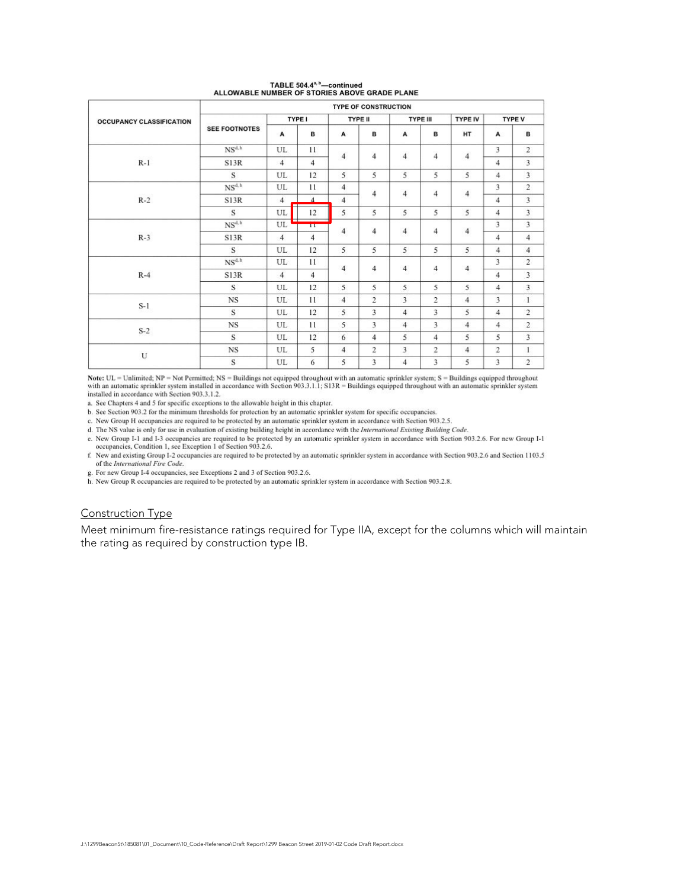|                                 | <b>TYPE OF CONSTRUCTION</b> |                |                 |                         |                 |                          |                |                |                         |                         |  |
|---------------------------------|-----------------------------|----------------|-----------------|-------------------------|-----------------|--------------------------|----------------|----------------|-------------------------|-------------------------|--|
| <b>OCCUPANCY CLASSIFICATION</b> | <b>TYPE I</b>               |                | <b>TYPE II</b>  |                         | <b>TYPE III</b> |                          | <b>TYPE IV</b> | <b>TYPE V</b>  |                         |                         |  |
|                                 | <b>SEE FOOTNOTES</b>        | A              | в               | A                       | B               | A                        | в              | HT             | A                       | в                       |  |
|                                 | NS <sup>d, h</sup>          | UL             | 11              |                         |                 |                          |                |                | 3                       | $\overline{2}$          |  |
| $R-1$                           | S13R                        | $\overline{4}$ | $\overline{4}$  | $\overline{4}$          | 4               | $\overline{4}$           | $\overline{4}$ | $\overline{4}$ | $\overline{\mathbf{4}}$ | 3                       |  |
|                                 | S                           | UL             | 12              | 5                       | 5               | 5                        | 5              | 5              | $\overline{\mathbf{4}}$ | $\overline{3}$          |  |
| $R-2$                           | $NS^{d,h}$                  | UL             | 11              | 4                       |                 | $\overline{4}$<br>4      |                | $\overline{4}$ | 3                       | $\overline{2}$          |  |
|                                 | S13R                        | $\overline{4}$ | $\overline{4}$  | $\overline{4}$          |                 |                          | $\overline{4}$ |                | $\overline{\mathbf{4}}$ | 3                       |  |
|                                 | s                           | UL             | 12              | 5                       | 5               | 5                        | 5              | 5              | $\overline{4}$          | $\overline{\mathbf{3}}$ |  |
| $R-3$                           | $NS^{d, h}$                 | UL             | $\overline{11}$ | 4<br>4                  |                 |                          | $\overline{4}$ | $\overline{4}$ | 3                       | 3                       |  |
|                                 | S13R                        | $\overline{4}$ | $\overline{4}$  |                         | $\overline{4}$  |                          |                | $\overline{4}$ | $\overline{4}$          |                         |  |
|                                 | s                           | UL.            | 12              | 5                       | 5               | 5                        | 5              | 5              | $\overline{4}$          | $\overline{4}$          |  |
|                                 | $NS^{d, h}$                 | UL             | 11              | 4<br>4<br>æ             |                 |                          |                |                | 3                       | $\overline{2}$          |  |
| $R-4$                           | S13R                        | $\overline{4}$ | $\overline{4}$  |                         | $\overline{4}$  | $\overline{\phantom{a}}$ | $\overline{a}$ | $\overline{4}$ | 3                       |                         |  |
|                                 | S                           | UL             | 12              | 5                       | 5               | 5                        | 5              | 5              | 4                       | 3                       |  |
| $S-1$                           | <b>NS</b>                   | UL             | 11              | $\overline{\mathbf{4}}$ | $\overline{2}$  | $\overline{\mathbf{3}}$  | $\overline{2}$ | $\overline{4}$ | 3                       | $\mathbf{1}$            |  |
|                                 | S                           | UL             | 12              | 5                       | 3               | $\overline{4}$           | 3              | 5              | $\overline{4}$          | $\overline{2}$          |  |
| $S-2$                           | <b>NS</b>                   | UL             | 11              | 5                       | 3               | $\overline{4}$           | 3              | $\overline{4}$ | $\overline{4}$          | $\overline{2}$          |  |
|                                 | S.                          | UL             | 12              | 6                       | $\overline{4}$  | 5                        | $\overline{4}$ | 5              | 5                       | $\overline{\mathbf{3}}$ |  |
| U                               | <b>NS</b>                   | UL             | 5               | $\overline{4}$          | 2               | 3                        | $\overline{2}$ | $\overline{4}$ | $\overline{2}$          | $\mathbf{I}$            |  |
|                                 | S                           | UL             | 6               | 5                       | 3               | $\overline{4}$           | 3              | 5              | 3                       | $\overline{2}$          |  |

## TABLE 504.4<sup>%</sup> -- continued<br>ALLOWABLE NUMBER OF STORIES ABOVE GRADE PLANE

Note:  $UL = Un$  limited; NP = Not Permitted; NS = Buildings not equipped throughout with an automatic sprinkler system; S = Buildings equipped throughout with an automatic sprinkler system installed in accordance with Sectio

a. See Chapters 4 and 5 for specific exceptions to the allowable height in this chapter.

b. See Section 903.2 for the minimum thresholds for protection by an automatic sprinkler system for specific occupancies.

c. New Group H occupancies are required to be protected by an automatic sprinkler system in accordance with Section 903.2.5.

d. The NS value is only for use in evaluation of existing building height in accordance with the International Existing Building Code.

e. New Group 1-1 and 1-3 occupancies are required to be protected by an automatic sprinkler system in accordance with Section 903.2.6. For new Group 1-1 occupancies, Condition 1, see Exception 1 of Section 903.2.6.

f. New and existing Group I-2 occupancies are required to be protected by an automatic sprinkler system in accordance with Section 903.2.6 and Section 1103.5 of the International Fire Code.

g. For new Group I-4 occupancies, see Exceptions 2 and 3 of Section 903.2.6.

h. New Group R occupancies are required to be protected by an automatic sprinkler system in accordance with Section 903.2.8.

## **Construction Type**

Meet minimum fire-resistance ratings required for Type IIA, except for the columns which will maintain the rating as required by construction type IB.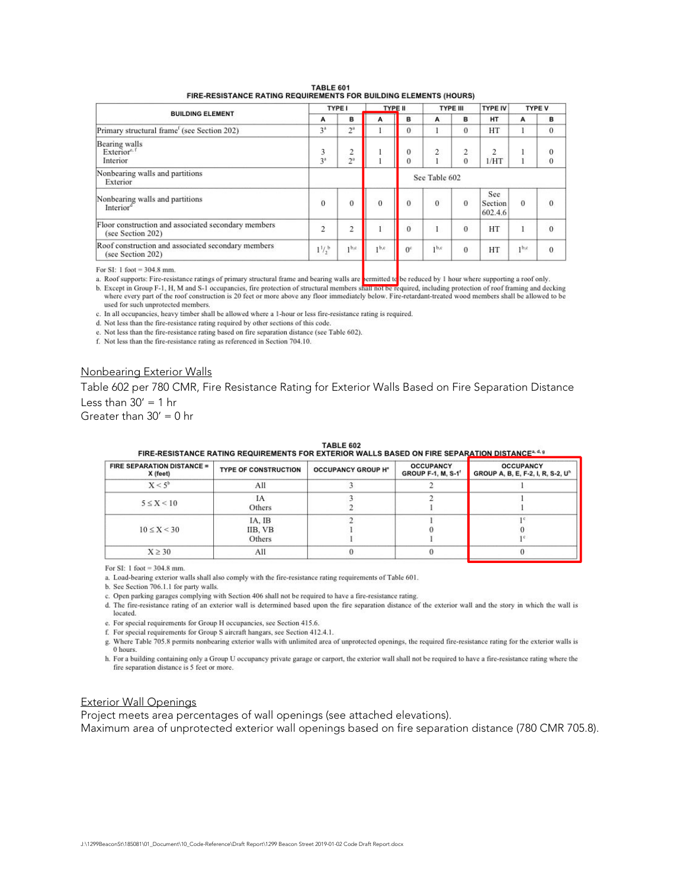|                                                                          | <b>TYPE I</b>       |                  | <b>TYPE II</b>   |                | <b>TYPE III</b> |               | <b>TYPE IV</b>            | <b>TYPE V</b>    |                      |
|--------------------------------------------------------------------------|---------------------|------------------|------------------|----------------|-----------------|---------------|---------------------------|------------------|----------------------|
| <b>BUILDING ELEMENT</b>                                                  | А                   | B                | А                | B              | A               | в             | <b>HT</b>                 | A                | B                    |
| Primary structural frame <sup>t</sup> (see Section 202)                  | 3 <sup>2</sup>      | $2^{\mathrm{a}}$ |                  | $\Omega$       |                 | $\theta$      | HT                        |                  | $\Omega$             |
| <b>Bearing</b> walls<br>Exterior <sup>e, f</sup><br>Interior             | 3<br>3 <sup>3</sup> | 2<br>$2^{\circ}$ |                  | 0<br>0         | 2               | 2<br>$\Omega$ | 2<br>1/HT                 |                  | $\Omega$<br>$\theta$ |
| Nonbearing walls and partitions<br>Exterior                              |                     | See Table 602    |                  |                |                 |               |                           |                  |                      |
| Nonbearing walls and partitions<br>Interiord                             | $\overline{0}$      | $\theta$         | $\bf{0}$         | $\overline{0}$ | $\bf{0}$        | $\bf{0}$      | See<br>Section<br>602.4.6 | $\sigma$         | $\overline{0}$       |
| Floor construction and associated secondary members<br>(see Section 202) | $\overline{2}$      | $\overline{2}$   |                  | $\alpha$       |                 | $\theta$      | HT                        |                  | $\Omega$             |
| Roof construction and associated secondary members<br>(see Section 202)  | $1^{1/2}$           | 1 <sup>b,c</sup> | 1 <sub>b,c</sub> | 0 <sup>c</sup> | 1 <sub>pc</sub> | $\theta$      | HT                        | 1 <sup>b,c</sup> | $\Omega$             |

**TABLE 601 EIDE DESISTANCE DATING DEQUIPE** MENTS COP RUILDING ELEMENTS (HOUPS)

For SI: 1 foot =  $304.8$  mm.

a. Roof supports: Fire-resistance ratings of primary structural frame and bearing walls are permitted to be reduced by 1 hour where supporting a roof only.

b. Except in Group F-1, H, M and S-1 occupancies, fire protection of structural members shall not be required, including protection of roof framing and decking where every part of the roof construction is 20 feet or more above any floor immediately below. Fire-retardant-treated wood members shall be allowed to be used for such unprotected members.

c. In all occupancies, heavy timber shall be allowed where a 1-hour or less fire-resistance rating is required.

d. Not less than the fire-resistance rating required by other sections of this code.

e. Not less than the fire-resistance rating based on fire separation distance (see Table 602).

f. Not less than the fire-resistance rating as referenced in Section 704.10.

#### Nonbearing Exterior Walls

Table 602 per 780 CMR, Fire Resistance Rating for Exterior Walls Based on Fire Separation Distance Less than  $30' = 1$  hr

Greater than  $30' = 0$  hr

| <b>FIRE SEPARATION DISTANCE =</b><br>X (feet) | <b>TYPE OF CONSTRUCTION</b> | <b>OCCUPANCY GROUP H°</b> | <b>OCCUPANCY</b><br><b>GROUP F-1, M, S-1'</b> | <b>OCCUPANCY</b><br>GROUP A, B, E, F-2, I, R, S-2, U <sup>h</sup> |
|-----------------------------------------------|-----------------------------|---------------------------|-----------------------------------------------|-------------------------------------------------------------------|
| $X < 5^b$                                     | All                         |                           |                                               |                                                                   |
| $5 \leq X \leq 10$                            | IA<br>Others                |                           |                                               |                                                                   |
| $10 \le X < 30$                               | IA. IB<br>IIB, VB<br>Others |                           |                                               |                                                                   |
| $X \geq 30$                                   | All                         |                           |                                               |                                                                   |

TABLE 602<br>FIRE-RESISTANCE RATING REQUIREMENTS FOR EXTERIOR WALLS RASED ON FIRE SEPARATION DISTANCE<sup>s.4.9</sup>

For SI: 1 foot =  $304.8$  mm.

a. Load-bearing exterior walls shall also comply with the fire-resistance rating requirements of Table 601.

b. See Section 706.1.1 for party walls.

c. Open parking garages complying with Section 406 shall not be required to have a fire-resistance rating.

d. The fire-resistance rating of an exterior wall is determined based upon the fire separation distance of the exterior wall and the story in which the wall is located.

e. For special requirements for Group H occupancies, see Section 415.6.

f. For special requirements for Group S aircraft hangars, see Section 412.4.1.

g. Where Table 705.8 permits nonbearing exterior walls with unlimited area of unprotected openings, the required fire-resistance rating for the exterior walls is 0 hours.

h. For a building containing only a Group U occupancy private garage or carport, the exterior wall shall not be required to have a fire-resistance rating where the fire separation distance is 5 feet or more.

#### Exterior Wall Openings

Project meets area percentages of wall openings (see attached elevations).

Maximum area of unprotected exterior wall openings based on fire separation distance (780 CMR 705.8).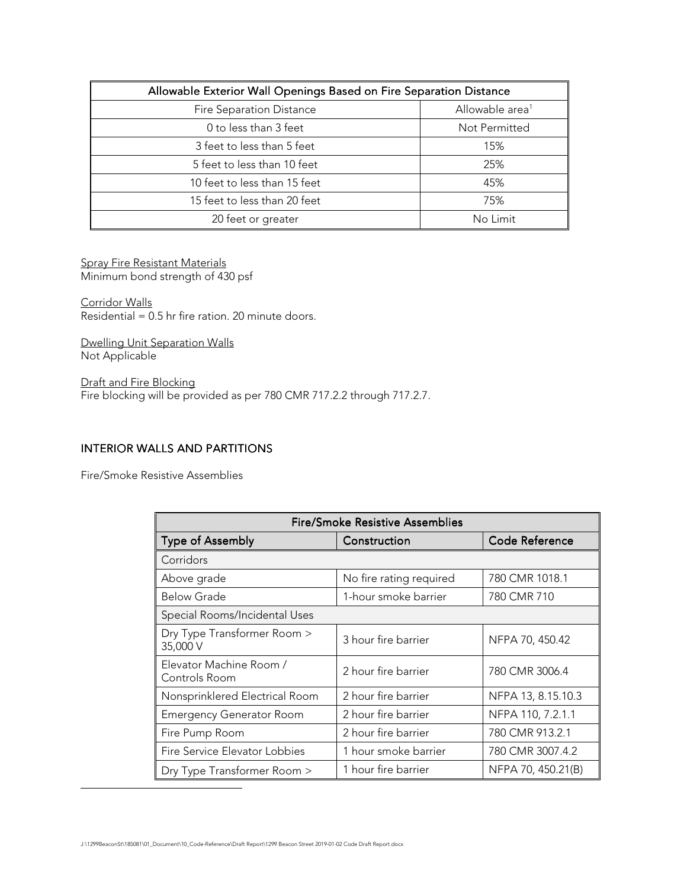| Allowable Exterior Wall Openings Based on Fire Separation Distance |                             |  |  |  |
|--------------------------------------------------------------------|-----------------------------|--|--|--|
| <b>Fire Separation Distance</b>                                    | Allowable area <sup>1</sup> |  |  |  |
| 0 to less than 3 feet                                              | Not Permitted               |  |  |  |
| 3 feet to less than 5 feet                                         | 15%                         |  |  |  |
| 5 feet to less than 10 feet                                        | 25%                         |  |  |  |
| 10 feet to less than 15 feet                                       | 45%                         |  |  |  |
| 15 feet to less than 20 feet                                       | 75%                         |  |  |  |
| 20 feet or greater                                                 | No Limit                    |  |  |  |

Spray Fire Resistant Materials Minimum bond strength of 430 psf

Corridor Walls  $Residential = 0.5$  hr fire ration. 20 minute doors.

Dwelling Unit Separation Walls Not Applicable

Draft and Fire Blocking Fire blocking will be provided as per 780 CMR 717.2.2 through 717.2.7.

## **INTERIOR WALLS AND PARTITIONS**

Fire/Smoke Resistive Assemblies

-

| <b>Fire/Smoke Resistive Assemblies</b>   |                         |                    |  |  |  |  |
|------------------------------------------|-------------------------|--------------------|--|--|--|--|
| <b>Type of Assembly</b>                  | Construction            | Code Reference     |  |  |  |  |
| Corridors                                |                         |                    |  |  |  |  |
| Above grade                              | No fire rating required | 780 CMR 1018.1     |  |  |  |  |
| <b>Below Grade</b>                       | 1-hour smoke barrier    | 780 CMR 710        |  |  |  |  |
| Special Rooms/Incidental Uses            |                         |                    |  |  |  |  |
| Dry Type Transformer Room ><br>35,000 V  | 3 hour fire barrier     | NFPA 70, 450.42    |  |  |  |  |
| Elevator Machine Room /<br>Controls Room | 2 hour fire barrier     | 780 CMR 3006.4     |  |  |  |  |
| Nonsprinklered Electrical Room           | 2 hour fire barrier     | NFPA 13, 8.15.10.3 |  |  |  |  |
| <b>Emergency Generator Room</b>          | 2 hour fire barrier     | NFPA 110, 7.2.1.1  |  |  |  |  |
| Fire Pump Room                           | 2 hour fire barrier     | 780 CMR 913.2.1    |  |  |  |  |
| Fire Service Elevator Lobbies            | 1 hour smoke barrier    | 780 CMR 3007.4.2   |  |  |  |  |
| Dry Type Transformer Room >              | 1 hour fire barrier     | NFPA 70, 450.21(B) |  |  |  |  |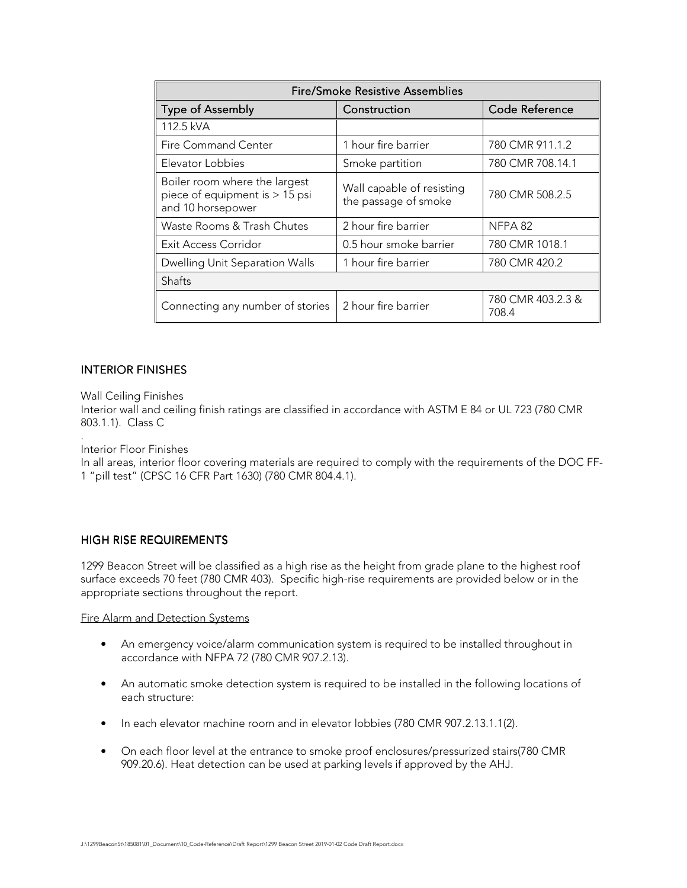| <b>Fire/Smoke Resistive Assemblies</b>                                                 |                                                   |                            |  |  |  |
|----------------------------------------------------------------------------------------|---------------------------------------------------|----------------------------|--|--|--|
| <b>Type of Assembly</b>                                                                | Construction                                      | <b>Code Reference</b>      |  |  |  |
| 112.5 kVA                                                                              |                                                   |                            |  |  |  |
| Fire Command Center                                                                    | 1 hour fire barrier                               | 780 CMR 911.1.2            |  |  |  |
| Elevator Lobbies                                                                       | Smoke partition                                   | 780 CMR 708.14.1           |  |  |  |
| Boiler room where the largest<br>piece of equipment is $> 15$ psi<br>and 10 horsepower | Wall capable of resisting<br>the passage of smoke | 780 CMR 508.2.5            |  |  |  |
| Waste Rooms & Trash Chutes                                                             | 2 hour fire barrier                               | NFPA 82                    |  |  |  |
| Exit Access Corridor                                                                   | 0.5 hour smoke barrier                            | 780 CMR 1018.1             |  |  |  |
| Dwelling Unit Separation Walls                                                         | 1 hour fire barrier                               | 780 CMR 420.2              |  |  |  |
| Shafts                                                                                 |                                                   |                            |  |  |  |
| Connecting any number of stories                                                       | 2 hour fire barrier                               | 780 CMR 403.2.3 &<br>708.4 |  |  |  |

## **INTERIOR FINISHES**

Wall Ceiling Finishes

Interior wall and ceiling finish ratings are classified in accordance with ASTM E 84 or UL 723 (780 CMR 803.1.1). Class C

. Interior Floor Finishes

In all areas, interior floor covering materials are required to comply with the requirements of the DOC FF-1 "pill test" (CPSC 16 CFR Part 1630) (780 CMR 804.4.1).

## HIGH RISE REQUIREMENTS

1299 Beacon Street will be classified as a high rise as the height from grade plane to the highest roof surface exceeds 70 feet (780 CMR 403). Specific high-rise requirements are provided below or in the appropriate sections throughout the report.

Fire Alarm and Detection Systems

- An emergency voice/alarm communication system is required to be installed throughout in accordance with NFPA 72 (780 CMR 907.2.13).
- An automatic smoke detection system is required to be installed in the following locations of each structure:
- In each elevator machine room and in elevator lobbies (780 CMR 907.2.13.1.1(2).
- On each floor level at the entrance to smoke proof enclosures/pressurized stairs(780 CMR 909.20.6). Heat detection can be used at parking levels if approved by the AHJ.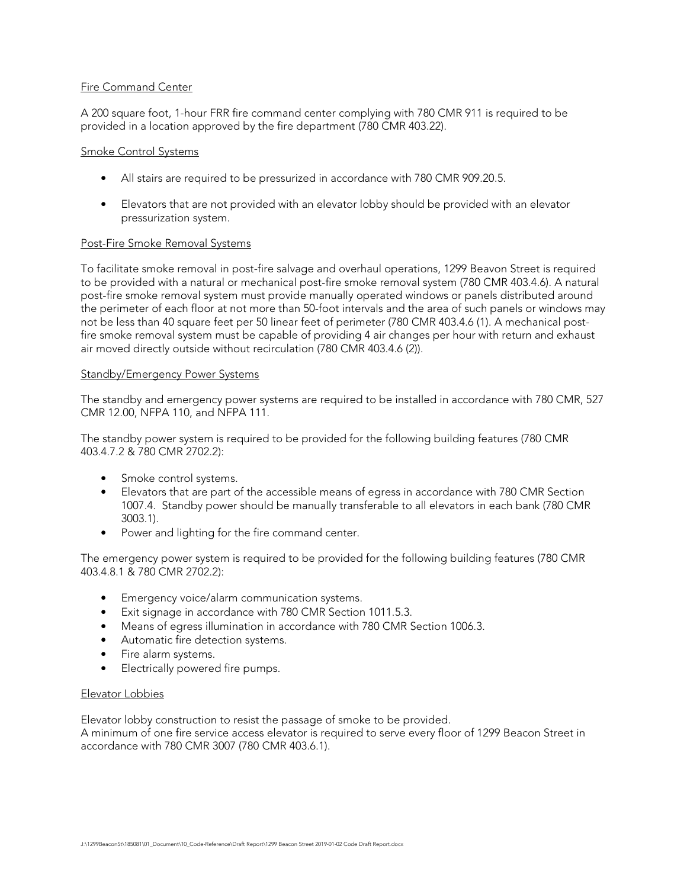## Fire Command Center

A 200 square foot, 1-hour FRR fire command center complying with 780 CMR 911 is required to be provided in a location approved by the fire department (780 CMR 403.22).

#### Smoke Control Systems

- All stairs are required to be pressurized in accordance with 780 CMR 909.20.5.
- Elevators that are not provided with an elevator lobby should be provided with an elevator pressurization system.

#### Post-Fire Smoke Removal Systems

To facilitate smoke removal in post-fire salvage and overhaul operations, 1299 Beavon Street is required to be provided with a natural or mechanical post-fire smoke removal system (780 CMR 403.4.6). A natural post-fire smoke removal system must provide manually operated windows or panels distributed around the perimeter of each floor at not more than 50-foot intervals and the area of such panels or windows may not be less than 40 square feet per 50 linear feet of perimeter (780 CMR 403.4.6 (1). A mechanical postfire smoke removal system must be capable of providing 4 air changes per hour with return and exhaust air moved directly outside without recirculation (780 CMR 403.4.6 (2)).

#### Standby/Emergency Power Systems

The standby and emergency power systems are required to be installed in accordance with 780 CMR, 527 CMR 12.00, NFPA 110, and NFPA 111.

The standby power system is required to be provided for the following building features (780 CMR 403.4.7.2 & 780 CMR 2702.2):

- Smoke control systems.
- Elevators that are part of the accessible means of egress in accordance with 780 CMR Section 1007.4. Standby power should be manually transferable to all elevators in each bank (780 CMR 3003.1).
- Power and lighting for the fire command center.

The emergency power system is required to be provided for the following building features (780 CMR 403.4.8.1 & 780 CMR 2702.2):

- Emergency voice/alarm communication systems.
- Exit signage in accordance with 780 CMR Section 1011.5.3.
- Means of egress illumination in accordance with 780 CMR Section 1006.3.
- Automatic fire detection systems.
- Fire alarm systems.
- Electrically powered fire pumps.

#### Elevator Lobbies

Elevator lobby construction to resist the passage of smoke to be provided. A minimum of one fire service access elevator is required to serve every floor of 1299 Beacon Street in accordance with 780 CMR 3007 (780 CMR 403.6.1).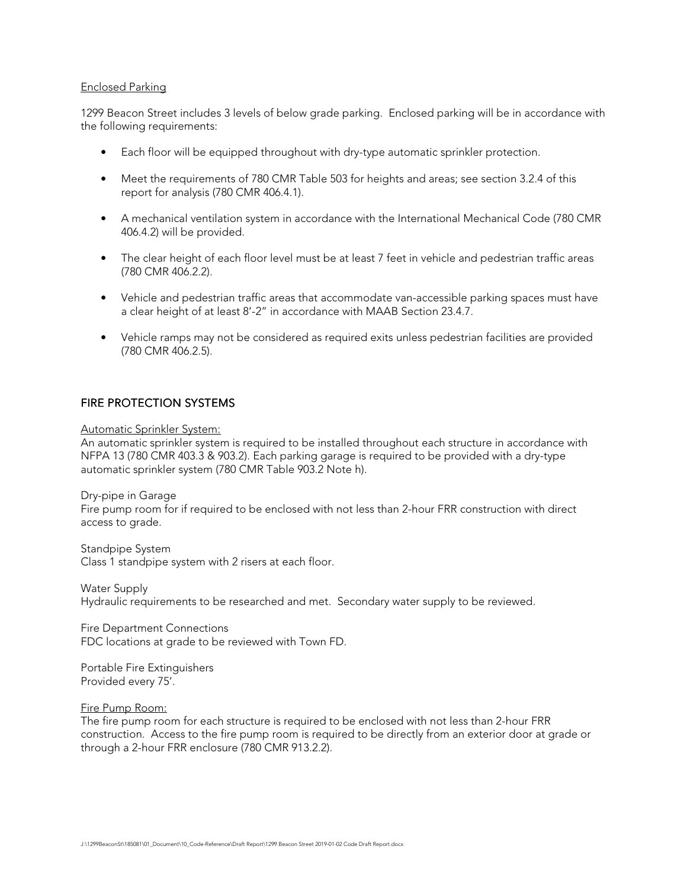#### Enclosed Parking

1299 Beacon Street includes 3 levels of below grade parking. Enclosed parking will be in accordance with the following requirements:

- Each floor will be equipped throughout with dry-type automatic sprinkler protection.
- Meet the requirements of 780 CMR Table 503 for heights and areas; see section 3.2.4 of this report for analysis (780 CMR 406.4.1).
- A mechanical ventilation system in accordance with the International Mechanical Code (780 CMR 406.4.2) will be provided.
- The clear height of each floor level must be at least 7 feet in vehicle and pedestrian traffic areas (780 CMR 406.2.2).
- Vehicle and pedestrian traffic areas that accommodate van-accessible parking spaces must have a clear height of at least 8'-2" in accordance with MAAB Section 23.4.7.
- Vehicle ramps may not be considered as required exits unless pedestrian facilities are provided (780 CMR 406.2.5).

## FIRE PROTECTION SYSTEMS

#### Automatic Sprinkler System:

An automatic sprinkler system is required to be installed throughout each structure in accordance with NFPA 13 (780 CMR 403.3 & 903.2). Each parking garage is required to be provided with a dry-type automatic sprinkler system (780 CMR Table 903.2 Note h).

Dry-pipe in Garage Fire pump room for if required to be enclosed with not less than 2-hour FRR construction with direct access to grade.

Standpipe System Class 1 standpipe system with 2 risers at each floor.

Water Supply Hydraulic requirements to be researched and met. Secondary water supply to be reviewed.

Fire Department Connections FDC locations at grade to be reviewed with Town FD.

Portable Fire Extinguishers Provided every 75'.

Fire Pump Room:

The fire pump room for each structure is required to be enclosed with not less than 2-hour FRR construction. Access to the fire pump room is required to be directly from an exterior door at grade or through a 2-hour FRR enclosure (780 CMR 913.2.2).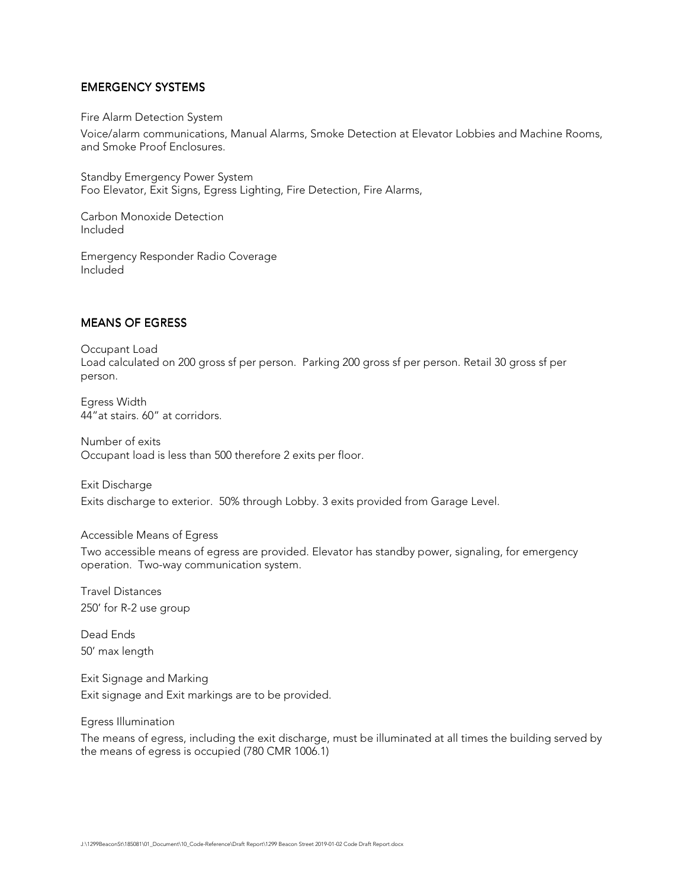## EMERGENCY SYSTEMS

#### Fire Alarm Detection System

Voice/alarm communications, Manual Alarms, Smoke Detection at Elevator Lobbies and Machine Rooms, and Smoke Proof Enclosures.

Standby Emergency Power System Foo Elevator, Exit Signs, Egress Lighting, Fire Detection, Fire Alarms,

Carbon Monoxide Detection Included

Emergency Responder Radio Coverage Included

## **MEANS OF EGRESS**

Occupant Load Load calculated on 200 gross sf per person. Parking 200 gross sf per person. Retail 30 gross sf per person.

Egress Width 44"at stairs. 60" at corridors.

Number of exits Occupant load is less than 500 therefore 2 exits per floor.

Exit Discharge Exits discharge to exterior. 50% through Lobby. 3 exits provided from Garage Level.

#### Accessible Means of Egress

Two accessible means of egress are provided. Elevator has standby power, signaling, for emergency operation. Two-way communication system.

Travel Distances 250' for R-2 use group

Dead Ends 50' max length

Exit Signage and Marking Exit signage and Exit markings are to be provided.

Egress Illumination

The means of egress, including the exit discharge, must be illuminated at all times the building served by the means of egress is occupied (780 CMR 1006.1)